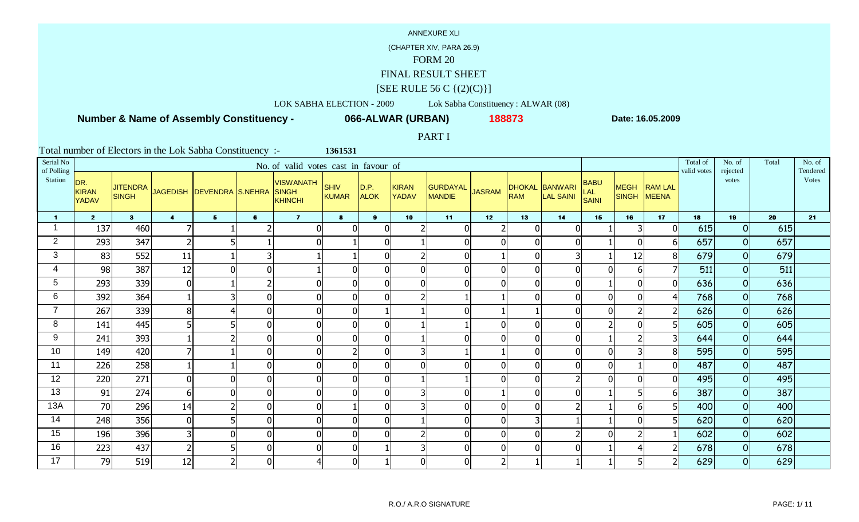## (CHAPTER XIV, PARA 26.9)

# FORM 20

### FINAL RESULT SHEET

### $[SEE \text{ RULE } 56 \text{ C } \{(2)(C)\}]$

# LOK SABHA ELECTION - 2009 Lok Sabha Constituency : ALWAR (08)

## **Number & Name of Assembly Constituency -**

**066-ALWAR (URBAN) <sup>188873</sup>**

**1361531**

**Date: 16.05.2009**

### PART I

| Serial No<br>of Polling |                                     |                                 |                         |                             |                | No. of valid votes cast in favour of        |                |                     |                         |                                  |               |                |                                    |                             |                             |                                | Total of<br>valid votes | No. of<br>rejected | Total | No. of<br>Tendered |
|-------------------------|-------------------------------------|---------------------------------|-------------------------|-----------------------------|----------------|---------------------------------------------|----------------|---------------------|-------------------------|----------------------------------|---------------|----------------|------------------------------------|-----------------------------|-----------------------------|--------------------------------|-------------------------|--------------------|-------|--------------------|
| Station                 | DR.<br><b>KIRAN</b><br><b>YADAV</b> | <b>JITENDRA</b><br><b>SINGH</b> |                         | JAGEDISH   DEVENDRA S.NEHRA |                | <b>VISWANATH</b><br>SINGH<br><b>KHINCHI</b> | SHIV<br>KUMAR  | D.P.<br><b>ALOK</b> | KIRAN<br><b>YADAV</b>   | <b>GURDAYAL</b><br><b>MANDIE</b> | <b>JASRAM</b> | <b>RAM</b>     | DHOKAL BANWARI<br><b>LAL SAINI</b> | <b>BABU</b><br>LAL<br>SAINI | <b>MEGH</b><br><b>SINGH</b> | <b>RAM LAL</b><br><b>MEENA</b> |                         | votes              |       | <b>Votes</b>       |
| $\blacksquare$          | 2 <sup>7</sup>                      | 3 <sup>1</sup>                  | $\overline{\mathbf{4}}$ | 5 <sub>1</sub>              | $\mathbf{6}$   | $\overline{7}$                              | $\mathbf{8}$   | 9 <sup>1</sup>      | 10                      | 11                               | 12            | 13             | 14                                 | 15                          | 16                          | 17                             | 18                      | 19                 | 20    | 21                 |
|                         | 137                                 | 460                             |                         |                             |                | $\mathbf 0$                                 | $\Omega$       | 0                   |                         | $\mathbf{0}$                     |               | $\Omega$       | $\Omega$                           |                             | $\overline{3}$              | $\Omega$                       | 615                     | $\overline{O}$     | 615   |                    |
| $\overline{2}$          | 293                                 | 347                             | z                       | 5                           |                | $\mathbf 0$                                 |                | O                   |                         | $\mathbf 0$                      |               | $\mathbf{0}$   | $\Omega$                           |                             | $\mathbf 0$                 | 61                             | 657                     | 0                  | 657   |                    |
| 3                       | 83                                  | 552                             | 11                      |                             |                |                                             |                | ŋ                   | $\overline{2}$          | $\mathbf 0$                      |               | $\overline{0}$ | 3                                  |                             | 12                          | 8                              | 679                     | $\overline{O}$     | 679   |                    |
| 4                       | 98                                  | 387                             | 12                      | $\mathbf 0$                 | $\Omega$       |                                             |                |                     | $\overline{0}$          | $\mathbf 0$                      |               | $\Omega$       |                                    | $\Omega$                    | 6                           |                                | 511                     | $\overline{O}$     | 511   |                    |
| 5                       | 293                                 | 339                             | $\Omega$                |                             |                | $\mathbf 0$                                 | $\Omega$       | $\Omega$            | $\overline{0}$          | $\mathbf{0}$                     |               | $\Omega$       | $\Omega$                           |                             | $\mathbf{0}$                | $\Omega$                       | 636                     | $\overline{O}$     | 636   |                    |
| 6                       | 392                                 | 364                             |                         | 3                           | 0              | $\mathbf 0$                                 | $\mathbf{0}$   |                     | 2 <sup>1</sup>          |                                  |               | $\mathbf{0}$   | $\Omega$                           | $\Omega$                    | $\mathbf{0}$                | 41                             | 768                     | 0                  | 768   |                    |
| $\overline{7}$          | 267                                 | 339                             | 8                       | 4                           | $\Omega$       | $\boldsymbol{0}$                            | $\mathbf{0}$   |                     |                         | $\mathbf 0$                      |               |                | $\Omega$                           | $\Omega$                    | $\mathcal{P}$               | $\overline{2}$                 | 626                     | $\overline{O}$     | 626   |                    |
| 8                       | 141                                 | 445                             |                         | 5                           | $\Omega$       | $\mathbf 0$                                 | $\overline{0}$ | $\Omega$            |                         |                                  |               | $\overline{0}$ |                                    |                             | $\mathbf{0}$                | 5 <sup>1</sup>                 | 605                     | 0                  | 605   |                    |
| 9                       | 241                                 | 393                             |                         | $\overline{2}$              | $\overline{0}$ | $\mathbf 0$                                 | $\overline{0}$ | O                   |                         | $\mathbf 0$                      |               | $\overline{0}$ | $\mathbf 0$                        |                             |                             | 31                             | 644                     | $\overline{O}$     | 644   |                    |
| 10                      | 149                                 | 420                             |                         |                             | 0              | $\mathbf 0$                                 | $\overline{2}$ | 0                   | $\overline{\mathsf{3}}$ |                                  |               | $\mathbf{0}$   | $\mathbf{0}$                       | $\Omega$                    | 3                           | 81                             | 595                     | 0                  | 595   |                    |
| 11                      | 226                                 | 258                             |                         |                             | $\Omega$       | $\mathbf 0$                                 | $\Omega$       | ŋ                   | $\overline{0}$          | $\mathbf{0}$                     |               | $\overline{0}$ | $\mathbf{0}$                       | $\Omega$                    |                             | ΩI                             | 487                     | $\overline{O}$     | 487   |                    |
| 12                      | 220                                 | 271                             | 0                       | $\mathbf 0$                 | $\mathbf{0}$   | $\mathbf 0$                                 |                |                     |                         |                                  |               | $\mathbf{0}$   |                                    | $\Omega$                    | $\mathbf 0$                 | 01                             | 495                     | 0                  | 495   |                    |
| 13                      | 91                                  | 274                             | 6                       | $\overline{0}$              | $\Omega$       | $\mathbf 0$                                 | $\Omega$       | $\Omega$            | 3 <sup>1</sup>          | $\mathbf 0$                      |               | $\mathbf{0}$   | $\Omega$                           |                             |                             | 61                             | 387                     | $\overline{O}$     | 387   |                    |
| 13A                     | 70                                  | 296                             | 14                      | $\overline{2}$              | $\Omega$       | $\mathbf 0$                                 |                |                     | 31                      | $\overline{0}$                   |               | $\overline{0}$ |                                    |                             | 6                           | 5                              | 400                     | 0                  | 400   |                    |
| 14                      | 248                                 | 356                             | $\overline{0}$          | 5                           | $\Omega$       | $\mathbf 0$                                 | $\Omega$       | U                   |                         | $\mathbf 0$                      |               | 3              |                                    |                             | $\Omega$                    | 51                             | 620                     | $\overline{O}$     | 620   |                    |
| 15                      | 196                                 | 396                             |                         | $\overline{0}$              | U              | $\mathbf 0$                                 | U              |                     | $\overline{2}$          | $\overline{0}$                   |               | $\Omega$       |                                    |                             |                             |                                | 602                     | $\overline{O}$     | 602   |                    |
| 16                      | 223                                 | 437                             | $\overline{2}$          | 5                           | $\overline{0}$ | $\mathbf 0$                                 | $\overline{0}$ |                     | 3 <sup>l</sup>          | $\mathbf 0$                      |               | $\overline{0}$ | $\Omega$                           |                             |                             | 21                             | 678                     | $\overline{O}$     | 678   |                    |
| 17                      | 79                                  | 519                             | 12                      | $\overline{2}$              | $\overline{0}$ | $\overline{4}$                              | $\overline{0}$ |                     | 0                       | $\mathbf 0$                      |               |                |                                    |                             |                             |                                | 629                     | $\overline{O}$     | 629   |                    |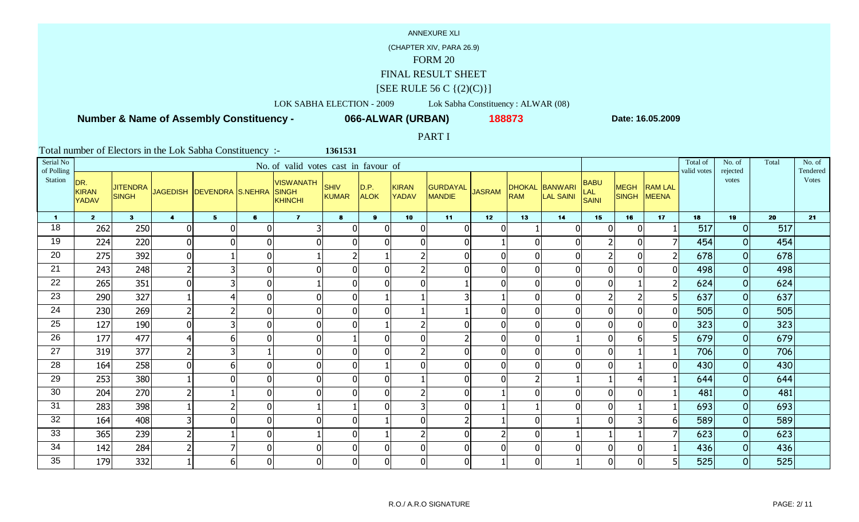## (CHAPTER XIV, PARA 26.9)

# FORM 20

### FINAL RESULT SHEET

### $[SEE \text{ RULE } 56 \text{ C } \{(2)(C)\}]$

# LOK SABHA ELECTION - 2009 Lok Sabha Constituency : ALWAR (08)

## **Number & Name of Assembly Constituency -**

**066-ALWAR (URBAN) <sup>188873</sup>**

**1361531**

**Date: 16.05.2009**

### PART I

| Serial No<br>of Polling |                                     |                                 |                         |                           |                | No. of valid votes cast in favour of               |                |                     |                       |                    |               |                             |                      |                                    |                             |                                | Total of<br>valid votes | No. of<br>rejected | Total | No. of<br>Tendered |
|-------------------------|-------------------------------------|---------------------------------|-------------------------|---------------------------|----------------|----------------------------------------------------|----------------|---------------------|-----------------------|--------------------|---------------|-----------------------------|----------------------|------------------------------------|-----------------------------|--------------------------------|-------------------------|--------------------|-------|--------------------|
| Station                 | DR.<br><b>KIRAN</b><br><b>YADAV</b> | <b>JITENDRA</b><br><b>SINGH</b> |                         | JAGEDISH DEVENDRA S.NEHRA |                | <b>VISWANATH</b><br><b>SINGH</b><br><b>KHINCHI</b> | SHIV<br>KUMAR  | D.P.<br><b>ALOK</b> | KIRAN<br><b>YADAV</b> | GURDAYAL<br>MANDIE | <b>JASRAM</b> | <b>DHOKAL</b><br><b>RAM</b> | BANWARI<br>LAL SAINI | <b>BABU</b><br>LAL<br><b>SAINI</b> | <b>MEGH</b><br><b>SINGH</b> | <b>RAM LAL</b><br><b>MEENA</b> |                         | votes              |       | <b>Votes</b>       |
| $\blacksquare$          | 2 <sup>7</sup>                      | 3 <sup>1</sup>                  | $\overline{\mathbf{4}}$ | 5 <sub>5</sub>            | $\mathbf{6}$   | $\mathbf{7}$                                       | $\bullet$      | $\mathbf{9}$        | 10                    | 11                 | 12            | 13                          | 14                   | 15                                 | 16                          | 17                             | 18                      | 19                 | 20    | 21                 |
| 18                      | 262                                 | 250                             | $\Omega$                | $\mathbf 0$               | $\Omega$       | $\overline{3}$                                     | $\Omega$       | $\Omega$            | $\overline{0}$        | $\Omega$           |               |                             | $\mathbf{0}$         | $\mathbf{0}$                       | $\mathbf 0$                 |                                | 517                     | $\overline{O}$     | 517   |                    |
| 19                      | 224                                 | 220                             |                         | $\overline{0}$            | 0              | $\mathbf 0$                                        | $\Omega$       |                     | $\overline{0}$        | $\overline{0}$     |               | $\mathbf{0}$                | $\Omega$             |                                    | $\mathbf{0}$                |                                | 454                     | 0                  | 454   |                    |
| 20                      | 275                                 | 392                             | $\overline{0}$          |                           | $\Omega$       |                                                    |                |                     | $\overline{2}$        | $\overline{0}$     |               | $\overline{0}$              | $\Omega$             |                                    | $\overline{0}$              |                                | 678                     | $\overline{O}$     | 678   |                    |
| 21                      | 243                                 | 248                             |                         | 3                         | $\Omega$       | $\mathbf 0$                                        | $\mathbf 0$    |                     | $\overline{2}$        | $\mathbf 0$        |               | $\overline{0}$              |                      | $\mathbf{0}$                       | 0                           | 01                             | 498                     | 0                  | 498   |                    |
| 22                      | 265                                 | 351                             | $\Omega$                | 3                         | $\overline{0}$ |                                                    | $\mathbf{0}$   | U                   | $\overline{0}$        |                    |               | $\mathbf{0}$                | $\overline{0}$       | $\Omega$                           |                             | $\overline{2}$                 | 624                     | 0                  | 624   |                    |
| 23                      | 290                                 | 327                             |                         | 4                         | $\Omega$       | $\mathbf 0$                                        | $\overline{0}$ |                     |                       | 3                  |               | $\mathbf{0}$                | $\Omega$             |                                    | $\overline{2}$              |                                | 637                     | 0                  | 637   |                    |
| 24                      | 230                                 | 269                             |                         | $\overline{2}$            | 0              | $\mathbf 0$                                        | $\Omega$       | ŋ                   |                       |                    |               | $\overline{0}$              | $\mathbf{0}$         | $\Omega$                           | $\mathbf{0}$                | ΩI                             | 505                     | $\overline{O}$     | 505   |                    |
| 25                      | 127                                 | <b>190</b>                      | U                       | $\overline{3}$            | ΩI             | $\mathbf 0$                                        | $\Omega$       |                     | $\overline{2}$        | $\mathbf 0$        |               | $\mathbf{0}$                |                      | $\Omega$                           | $\mathbf{0}$                | Ωl                             | 323                     | 0                  | 323   |                    |
| 26                      | 177                                 | 477                             |                         | 6                         | $\Omega$       | $\boldsymbol{0}$                                   |                | ∩                   | 0                     | $\overline{2}$     |               | $\overline{0}$              |                      | $\overline{0}$                     | 6                           | 5                              | 679                     | $\overline{O}$     | 679   |                    |
| 27                      | 319                                 | 377                             | z                       | 3                         |                | $\mathbf 0$                                        | $\Omega$       |                     | $\overline{2}$        | $\overline{0}$     |               | $\overline{0}$              | $\Omega$             | $\Omega$                           |                             |                                | 706                     | 0                  | 706   |                    |
| 28                      | 164                                 | 258                             |                         | 6                         | U              | $\mathbf 0$                                        | $\Omega$       |                     | $\overline{0}$        | $\mathbf 0$        |               | $\overline{0}$              |                      | $\Omega$                           |                             |                                | 430                     | $\overline{O}$     | 430   |                    |
| 29                      | 253                                 | 380                             |                         | $\overline{0}$            | $\mathbf{0}$   | $\mathbf 0$                                        | 0              |                     |                       | $\mathbf 0$        |               |                             |                      |                                    |                             |                                | 644                     | 0                  | 644   |                    |
| 30                      | 204                                 | 270                             | ∠                       |                           | $\mathbf{0}$   | $\mathbf 0$                                        | $\overline{0}$ | 0                   | $\overline{2}$        | $\mathbf 0$        |               | $\mathbf{0}$                | $\Omega$             | $\Omega$                           | $\Omega$                    |                                | 481                     | $\overline{O}$     | 481   |                    |
| 31                      | 283                                 | 398                             |                         | $\overline{2}$            | 0              |                                                    |                |                     | 3 <sup>l</sup>        | $\overline{0}$     |               |                             |                      | $\Omega$                           |                             |                                | 693                     | 0                  | 693   |                    |
| 32                      | 164                                 | 408                             |                         | $\overline{0}$            | $\Omega$       | $\mathbf 0$                                        | $\Omega$       |                     | 0                     | $\overline{2}$     |               | $\mathbf{0}$                |                      | $\Omega$                           | 3                           | 61                             | 589                     | $\overline{O}$     | 589   |                    |
| 33                      | 365                                 | 239                             |                         |                           | $\Omega$       |                                                    | U              |                     | 2                     | $\mathbf 0$        |               | $\overline{0}$              |                      |                                    |                             |                                | 623                     | $\overline{O}$     | 623   |                    |
| 34                      | 142                                 | 284                             |                         | $\overline{7}$            | $\overline{0}$ | $\mathbf 0$                                        | $\overline{0}$ | n                   | $\overline{0}$        | $\mathbf 0$        |               | $\overline{0}$              | $\Omega$             | $\Omega$                           | 0                           |                                | 436                     | $\overline{O}$     | 436   |                    |
| 35                      | 179                                 | 332                             |                         | 6                         | $\overline{0}$ | $\mathbf 0$                                        | $\overline{0}$ | U                   | $\overline{0}$        | $\mathbf 0$        |               | $\mathbf{0}$                |                      | $\Omega$                           | $\mathbf{0}$                |                                | 525                     | 0                  | 525   |                    |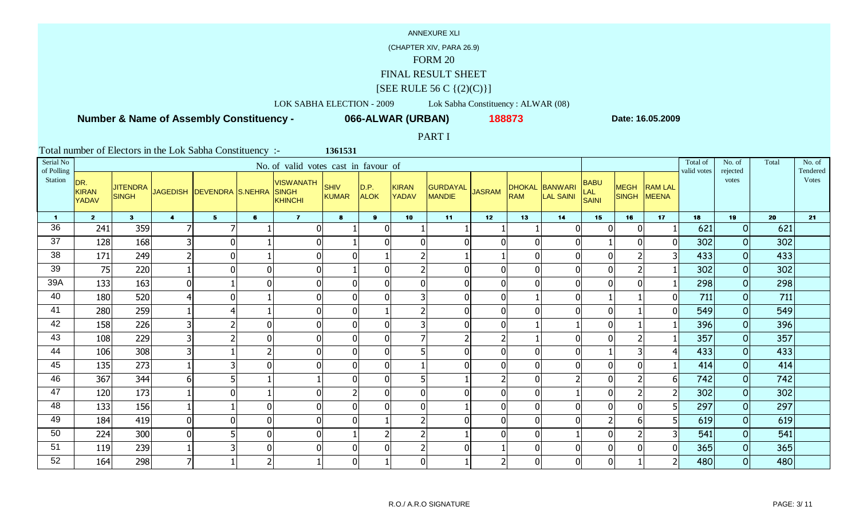## (CHAPTER XIV, PARA 26.9)

# FORM 20

### FINAL RESULT SHEET

### $[SEE \text{ RULE } 56 \text{ C } \{(2)(C)\}]$

# LOK SABHA ELECTION - 2009 Lok Sabha Constituency : ALWAR (08)

## **Number & Name of Assembly Constituency -**

**066-ALWAR (URBAN) <sup>188873</sup>**

**1361531**

**Date: 16.05.2009**

### PART I

| Serial No<br>of Polling |                              |                                 |                      |                           |                | No. of valid votes cast in favour of               |                |                     |                       |                           |               |                |                                    |                             |                      |                                | Total of<br>valid votes | No. of<br>rejected | Total | No. of<br>Tendered |
|-------------------------|------------------------------|---------------------------------|----------------------|---------------------------|----------------|----------------------------------------------------|----------------|---------------------|-----------------------|---------------------------|---------------|----------------|------------------------------------|-----------------------------|----------------------|--------------------------------|-------------------------|--------------------|-------|--------------------|
| Station                 | DR.<br><b>KIRAN</b><br>YADAV | <b>JITENDRA</b><br><b>SINGH</b> |                      | JAGEDISH DEVENDRA S.NEHRA |                | <b>VISWANATH</b><br><b>SINGH</b><br><b>KHINCHI</b> | SHIV<br>KUMAR  | D.P.<br><b>ALOK</b> | KIRAN<br><b>YADAV</b> | <b>GURDAYAL</b><br>MANDIE | <b>JASRAM</b> | <b>RAM</b>     | DHOKAL BANWARI<br><b>LAL SAINI</b> | <b>BABU</b><br>LAL<br>SAINI | <b>MEGH</b><br>SINGH | <b>RAM LAL</b><br><b>MEENA</b> |                         | votes              |       | Votes              |
| -1                      | $\overline{2}$               | 3 <sup>1</sup>                  | $\blacktriangleleft$ | 5 <sub>5</sub>            | $6\phantom{1}$ | $\overline{7}$                                     | $\bullet$      | $\mathbf{9}$        | 10                    | 11                        | 12            | 13             | 14                                 | 15                          | 16                   | 17                             | 18                      | 19                 | 20    | 21                 |
| 36                      | 241                          | 359                             |                      | 7                         |                | $\overline{0}$                                     |                | ∩                   |                       |                           |               |                |                                    | $\mathbf{0}$                | $\overline{0}$       |                                | 621                     | $\Omega$           | 621   |                    |
| 37                      | 128                          | 168                             |                      | $\overline{0}$            |                | 0                                                  |                |                     | $\overline{0}$        | $\mathbf{0}$              |               | $\overline{0}$ |                                    |                             | $\overline{0}$       |                                | 302                     | 0                  | 302   |                    |
| 38                      | 171                          | 249                             |                      | $\overline{0}$            |                | 0                                                  | U              |                     | $\overline{2}$        |                           |               | $\overline{0}$ |                                    | $\Omega$                    |                      |                                | 433                     | $\overline{O}$     | 433   |                    |
| 39                      | 75                           | 220                             |                      | $\overline{0}$            | 0              | 0                                                  |                |                     | $2 \vert$             | $\overline{0}$            |               | $\mathbf{0}$   |                                    | $\overline{0}$              |                      |                                | 302                     | 0                  | 302   |                    |
| 39A                     | 133                          | 163                             | 0                    |                           | 0              | $\overline{0}$                                     | $\overline{0}$ | O                   | $\overline{0}$        | $\overline{0}$            |               | $\overline{0}$ |                                    | $\overline{0}$              | $\mathbf 0$          |                                | 298                     | $\overline{O}$     | 298   |                    |
| 40                      | 180                          | 520                             |                      | $\overline{0}$            |                | $\overline{0}$                                     | $\mathbf{0}$   |                     | 3 <sup>1</sup>        | $\overline{0}$            |               |                |                                    |                             |                      |                                | 711                     | 0                  | 711   |                    |
| 41                      | 280                          | 259                             |                      | 4                         |                | 0                                                  | $\overline{0}$ |                     | $\overline{2}$        | $\overline{0}$            | U             | $\mathbf{0}$   | ∩                                  | $\overline{0}$              |                      | $\Omega$                       | 549                     | 0                  | 549   |                    |
| 42                      | 158                          | 226                             |                      | $\overline{2}$            | ΩI             | $\overline{0}$                                     | $\Omega$       |                     | 3 <sup>l</sup>        | $\mathbf 0$               |               |                |                                    | $\mathbf{0}$                |                      |                                | 396                     | 0                  | 396   |                    |
| 43                      | 108                          | 229                             |                      | 2                         | $\overline{0}$ | 0                                                  | $\overline{0}$ | $\Omega$            | $\overline{7}$        | $\overline{2}$            |               |                |                                    | $\overline{0}$              |                      |                                | 357                     | $\overline{O}$     | 357   |                    |
| 44                      | 106                          | 308                             |                      |                           |                | $\overline{0}$                                     | $\Omega$       | $\Omega$            | 5                     | $\overline{0}$            |               | $\mathbf 0$    |                                    |                             | 3                    |                                | 433                     | 0                  | 433   |                    |
| 45                      | 135                          | 273                             |                      | 3                         | ΩI             | $\overline{0}$                                     | $\Omega$       | ∩                   |                       | $\overline{0}$            |               | $\mathbf{0}$   |                                    | $\overline{0}$              | $\mathbf 0$          |                                | 414                     | $\overline{O}$     | 414   |                    |
| 46                      | 367                          | 344                             | h                    | 5 <sup>1</sup>            |                |                                                    |                |                     | 5                     |                           |               | $\mathbf{0}$   |                                    | $\overline{0}$              |                      | 61                             | 742                     | 0                  | 742   |                    |
| 47                      | 120                          | 173                             |                      | $\overline{0}$            |                | 0                                                  |                | $\Omega$            | $\overline{0}$        | $\mathbf 0$               |               | $\mathbf 0$    |                                    | $\overline{0}$              |                      | 2                              | 302                     | $\overline{O}$     | 302   |                    |
| 48                      | 133                          | 156                             |                      |                           | ΩI             | 0                                                  | $\Omega$       |                     | $\overline{0}$        |                           |               | $\overline{0}$ |                                    | $\mathbf{0}$                | $\overline{0}$       | 5                              | 297                     | 0                  | 297   |                    |
| 49                      | 184                          | 419                             | $\mathbf{0}$         | 0                         | $\overline{0}$ | 0                                                  | $\Omega$       |                     | $\overline{2}$        | $\overline{0}$            |               | $\overline{0}$ |                                    | C.                          | 6                    | 5                              | 619                     | $\overline{O}$     | 619   |                    |
| 50                      | 224                          | 300                             |                      | 5 <sup>1</sup>            | ΩI             | 0                                                  |                |                     | 2                     |                           |               | $\mathbf{0}$   |                                    | $\Omega$                    |                      |                                | 541                     | $\Omega$           | 541   |                    |
| 51                      | 119                          | 239                             |                      | 3                         | $\overline{0}$ | $\overline{0}$                                     | $\Omega$       | ∩                   | $\overline{2}$        | $\overline{0}$            |               | $\overline{0}$ |                                    | $\mathbf 0$                 | $\mathbf 0$          | 0                              | 365                     | $\overline{O}$     | 365   |                    |
| 52                      | 164                          | 298                             |                      |                           |                |                                                    | $\overline{0}$ |                     | $\overline{0}$        |                           |               | $\overline{0}$ |                                    | $\overline{0}$              |                      |                                | 480                     | $\Omega$           | 480   |                    |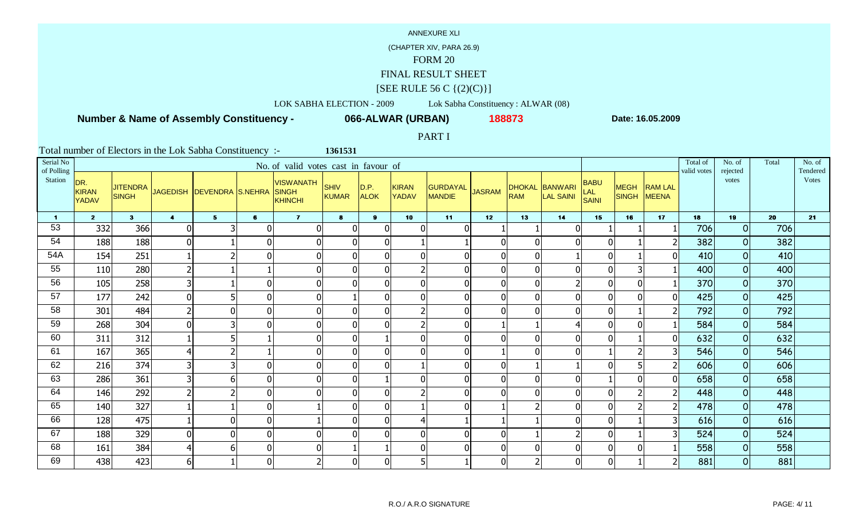## (CHAPTER XIV, PARA 26.9)

# FORM 20

### FINAL RESULT SHEET

### $[SEE \text{ RULE } 56 \text{ C } \{(2)(C)\}]$

## LOK SABHA ELECTION - 2009 Lok Sabha Constituency : ALWAR (08)

## **Number & Name of Assembly Constituency -**

**066-ALWAR (URBAN) <sup>188873</sup>**

**1361531**

**Date: 16.05.2009**

### PART I

| Serial No<br>of Polling |                                     |                                 |                         |                           |                | No. of valid votes cast in favour of               |                |                     |                       |                    |               |                             |                      |                             |                             |                                | Total of<br>valid votes | No. of<br>rejected | Total | No. of<br>Tendered |
|-------------------------|-------------------------------------|---------------------------------|-------------------------|---------------------------|----------------|----------------------------------------------------|----------------|---------------------|-----------------------|--------------------|---------------|-----------------------------|----------------------|-----------------------------|-----------------------------|--------------------------------|-------------------------|--------------------|-------|--------------------|
| Station                 | DR.<br><b>KIRAN</b><br><b>YADAV</b> | <b>JITENDRA</b><br><b>SINGH</b> |                         | JAGEDISH DEVENDRA S.NEHRA |                | <b>VISWANATH</b><br><b>SINGH</b><br><b>KHINCHI</b> | SHIV<br>KUMAR  | D.P.<br><b>ALOK</b> | KIRAN<br><b>YADAV</b> | GURDAYAL<br>MANDIE | <b>JASRAM</b> | <b>DHOKAL</b><br><b>RAM</b> | BANWARI<br>LAL SAINI | <b>BABU</b><br>LAL<br>SAINI | <b>MEGH</b><br><b>SINGH</b> | <b>RAM LAL</b><br><b>MEENA</b> |                         | votes              |       | <b>Votes</b>       |
| $\blacksquare$          | 2 <sup>7</sup>                      | 3 <sup>1</sup>                  | $\overline{\mathbf{4}}$ | 5 <sub>5</sub>            | $\mathbf{6}$   | $\mathbf{7}$                                       | $\bullet$      | $\mathbf{9}$        | 10                    | 11                 | 12            | 13                          | 14                   | 15                          | 16                          | 17                             | 18                      | 19                 | 20    | 21                 |
| 53                      | 332                                 | 366                             | $\Omega$                | 3                         | $\Omega$       | $\mathbf 0$                                        | $\Omega$       | $\Omega$            | $\overline{0}$        | $\Omega$           |               |                             | $\mathbf{0}$         |                             |                             |                                | 706                     | 0                  | 706   |                    |
| 54                      | 188                                 | 188                             |                         |                           | $\Omega$       | $\mathbf 0$                                        | $\Omega$       | 0                   |                       |                    |               | $\mathbf{0}$                | $\Omega$             | $\Omega$                    |                             |                                | 382                     | 0                  | 382   |                    |
| 54A                     | 154                                 | 251                             |                         | $\overline{2}$            | $\Omega$       | $\mathbf 0$                                        | $\Omega$       | U                   | $\overline{0}$        | $\overline{0}$     |               | $\overline{0}$              |                      | $\Omega$                    |                             | ΩI                             | 410                     | $\overline{O}$     | 410   |                    |
| 55                      | 110                                 | 280                             |                         |                           |                | $\mathbf 0$                                        |                |                     | $\overline{2}$        | $\mathbf 0$        |               | $\mathbf{0}$                |                      | $\Omega$                    |                             |                                | 400                     | 0                  | 400   |                    |
| 56                      | 105                                 | 258                             |                         |                           | $\mathbf{0}$   | $\mathbf 0$                                        | $\overline{0}$ | U                   | $\overline{0}$        | $\overline{0}$     |               | $\mathbf{0}$                |                      | $\Omega$                    | $\mathbf 0$                 |                                | 370                     | 0                  | 370   |                    |
| 57                      | 177                                 | 242                             |                         | 5                         | $\Omega$       | $\mathbf 0$                                        |                |                     | $\overline{0}$        | $\overline{0}$     |               | $\mathbf{0}$                | $\mathbf{0}$         | $\overline{0}$              | $\mathbf{0}$                |                                | 425                     | 0                  | 425   |                    |
| 58                      | 301                                 | 484                             |                         | $\overline{0}$            | 0              | $\mathbf 0$                                        | $\Omega$       | n                   | $\overline{2}$        | $\overline{0}$     |               | $\Omega$                    | $\Omega$             | $\Omega$                    |                             |                                | 792                     | $\overline{O}$     | 792   |                    |
| 59                      | 268                                 | 304                             | U                       | 3                         | ΩI             | $\mathbf 0$                                        | $\Omega$       |                     | $\overline{2}$        | $\mathbf 0$        |               |                             |                      | $\Omega$                    | $\Omega$                    |                                | 584                     | 0                  | 584   |                    |
| 60                      | 311                                 | 312                             |                         | 5                         |                | $\boldsymbol{0}$                                   | $\mathbf 0$    |                     | 0                     | $\mathbf 0$        |               | $\mathbf{0}$                | $\overline{0}$       | $\overline{0}$              |                             | 01                             | 632                     | $\overline{O}$     | 632   |                    |
| 61                      | 167                                 | 365                             |                         | $\overline{2}$            |                | $\mathbf 0$                                        | $\overline{0}$ | 0                   | $\overline{0}$        | $\mathbf 0$        |               | $\mathbf{0}$                |                      |                             | $\mathcal{I}$               |                                | 546                     | 0                  | 546   |                    |
| 62                      | 216                                 | 374                             |                         | 3                         |                | $\mathbf 0$                                        | $\Omega$       |                     |                       | $\mathbf 0$        |               |                             |                      | <sup>n</sup>                |                             | 21                             | 606                     | $\overline{O}$     | 606   |                    |
| 63                      | 286                                 | 361                             |                         | 6                         | $\Omega$       | $\mathbf 0$                                        | $\overline{0}$ |                     | $\overline{0}$        | $\mathbf 0$        |               | $\overline{0}$              |                      |                             | 0                           | 01                             | 658                     | 0                  | 658   |                    |
| 64                      | 146                                 | 292                             |                         | $\overline{2}$            | $\mathbf{0}$   | $\mathbf 0$                                        | $\overline{0}$ | $\Omega$            | $\overline{2}$        | $\mathbf 0$        |               | $\mathbf{0}$                | $\Omega$             | $\Omega$                    |                             | $\overline{2}$                 | 448                     | $\overline{O}$     | 448   |                    |
| 65                      | 140                                 | 327                             |                         |                           | ΩI             |                                                    | $\overline{0}$ |                     |                       | $\overline{0}$     |               |                             |                      | $\Omega$                    |                             |                                | 478                     | 0                  | 478   |                    |
| 66                      | 128                                 | 475                             |                         | $\overline{0}$            | $\Omega$       |                                                    | $\Omega$       | $\Omega$            | $\overline{4}$        |                    |               |                             | $\Omega$             | $\Omega$                    |                             | 31                             | 616                     | $\overline{O}$     | 616   |                    |
| 67                      | 188                                 | 329                             |                         | $\overline{0}$            | $\Omega$       | $\overline{0}$                                     |                |                     | $\overline{0}$        | $\mathbf 0$        |               |                             |                      | $\Omega$                    |                             |                                | 524                     | 0                  | 524   |                    |
| 68                      | 161                                 | 384                             |                         | 6                         | $\overline{0}$ | $\mathbf 0$                                        |                |                     | $\overline{0}$        | $\mathbf 0$        |               | $\overline{0}$              | $\Omega$             | $\overline{0}$              | 0                           |                                | 558                     | $\overline{O}$     | 558   |                    |
| 69                      | 438                                 | 423                             | $6 \mid$                |                           | $\Omega$       | $\overline{2}$                                     | $\overline{0}$ | U                   | 5 <sup>1</sup>        |                    |               |                             | $\Omega$             | $\overline{0}$              |                             |                                | 881                     | $\overline{O}$     | 881   |                    |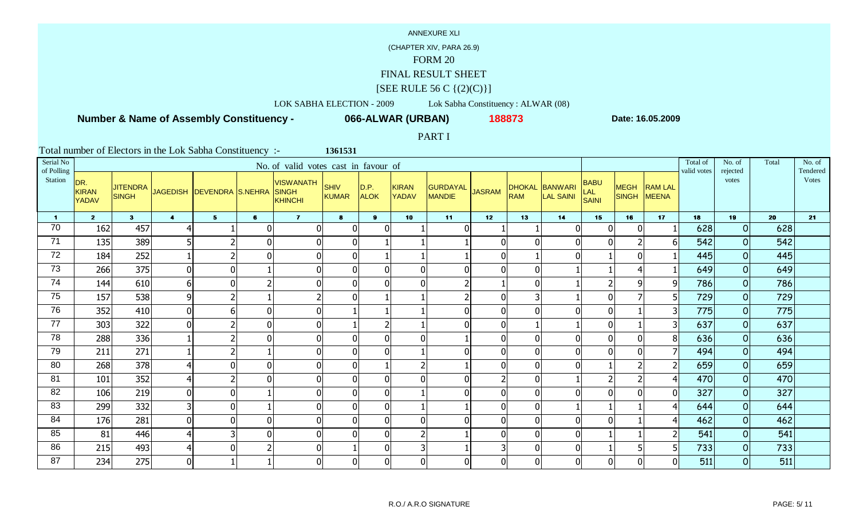## (CHAPTER XIV, PARA 26.9)

# FORM 20

### FINAL RESULT SHEET

### $[SEE \text{ RULE } 56 \text{ C } \{(2)(C)\}]$

## LOK SABHA ELECTION - 2009 Lok Sabha Constituency : ALWAR (08)

## **Number & Name of Assembly Constituency -**

**066-ALWAR (URBAN) <sup>188873</sup>**

**1361531**

**Date: 16.05.2009**

### PART I

| Serial No<br>of Polling |                                     |                                 |                      |                           |              | No. of valid votes cast in favour of             |                |                     |                       |                                  |               |                             |                             |                                    |                          |                                | Total of<br>valid votes | No. of<br>rejected | Total | No. of<br>Tendered |
|-------------------------|-------------------------------------|---------------------------------|----------------------|---------------------------|--------------|--------------------------------------------------|----------------|---------------------|-----------------------|----------------------------------|---------------|-----------------------------|-----------------------------|------------------------------------|--------------------------|--------------------------------|-------------------------|--------------------|-------|--------------------|
| Station                 | DR.<br><b>KIRAN</b><br><b>YADAV</b> | <b>JITENDRA</b><br><b>SINGH</b> |                      | JAGEDISH DEVENDRA S.NEHRA |              | VISWANATH SHIV<br><b>SINGH</b><br><b>KHINCHI</b> | KUMAR          | D.P.<br><b>ALOK</b> | KIRAN<br><b>YADAV</b> | <b>GURDAYAL</b><br><b>MANDIE</b> | <b>JASRAM</b> | <b>DHOKAL</b><br><b>RAM</b> | BANWARI<br><b>LAL SAINI</b> | <b>BABU</b><br>LAL<br><b>SAINI</b> | <b>MEGH</b><br>SINGH     | <b>RAM LAL</b><br><b>MEENA</b> |                         | votes              |       | <b>Votes</b>       |
| $\blacksquare$          | 2 <sub>2</sub>                      | 3 <sup>1</sup>                  | $\blacktriangleleft$ | 5 <sub>1</sub>            | $\mathbf{6}$ | $\mathbf{7}$                                     | $\bullet$      | 9 <sup>1</sup>      | 10                    | 11                               | 12            | 13                          | 14                          | 15                                 | 16                       | 17                             | 18                      | 19                 | 20    | 21                 |
| 70                      | 162                                 | 457                             |                      |                           | $\Omega$     | $\overline{0}$                                   | $\Omega$       | ∩                   |                       | $\Omega$                         |               |                             | $\Omega$                    | $\Omega$                           | $\mathbf 0$              |                                | 628                     | 0                  | 628   |                    |
| 71                      | 135                                 | 389                             |                      | $\overline{2}$            | $\Omega$     | $\mathbf 0$                                      | $\Omega$       |                     |                       |                                  |               | $\overline{0}$              | $\Omega$                    | $\Omega$                           | $\overline{\phantom{a}}$ |                                | 542                     | 0                  | 542   |                    |
| 72                      | 184                                 | 252                             |                      | $\overline{2}$            | U            | $\mathbf 0$                                      | $\Omega$       |                     |                       |                                  |               |                             |                             |                                    | $\mathbf{0}$             |                                | 445                     | $\overline{O}$     | 445   |                    |
| 73                      | 266                                 | 375                             |                      | $\boldsymbol{0}$          |              | $\boldsymbol{0}$                                 | U              |                     | $\overline{0}$        | $\overline{0}$                   |               | $\overline{0}$              |                             |                                    |                          |                                | 649                     | 0                  | 649   |                    |
| 74                      | 144                                 | 610                             | 6                    | $\mathbf 0$               |              | $\mathbf 0$                                      | $\overline{0}$ | ŋ                   | $\overline{0}$        | $\overline{2}$                   |               | $\overline{0}$              |                             |                                    | 9                        | 9                              | 786                     | 0                  | 786   |                    |
| 75                      | 157                                 | 538                             | 9                    | $\overline{2}$            |              | $\overline{2}$                                   | $\Omega$       |                     |                       | $\overline{2}$                   |               | 3                           |                             | $\Omega$                           | 7                        | 5                              | 729                     | 0                  | 729   |                    |
| 76                      | 352                                 | 410                             | $\overline{0}$       | 6                         | $\mathbf{0}$ | $\mathbf 0$                                      |                |                     |                       | $\overline{0}$                   |               | $\mathbf{0}$                | $\Omega$                    | $\Omega$                           |                          | 3                              | 775                     | $\overline{O}$     | 775   |                    |
| 77                      | 303                                 | 322                             | n                    | $\overline{2}$            | $\Omega$     | $\mathbf 0$                                      |                |                     |                       | $\mathbf 0$                      |               |                             |                             | $\mathbf{0}$                       |                          | 3 <sup>1</sup>                 | 637                     | $\overline{O}$     | 637   |                    |
| 78                      | 288                                 | 336                             |                      | $\overline{2}$            | $\Omega$     | $\mathbf 0$                                      | $\overline{0}$ | ∩                   | $\overline{0}$        |                                  |               | $\mathbf{0}$                | $\overline{0}$              | $\Omega$                           | $\mathbf 0$              | 8 <sup>1</sup>                 | 636                     | 0                  | 636   |                    |
| 79                      | 211                                 | 271                             |                      | $\overline{2}$            |              | $\mathbf 0$                                      | $\overline{0}$ |                     |                       | $\mathbf{0}$                     |               | $\overline{0}$              | $\Omega$                    | $\Omega$                           | $\mathbf{0}$             |                                | 494                     | 0                  | 494   |                    |
| 80                      | 268                                 | 378                             |                      | $\overline{0}$            | $\Omega$     | $\mathbf 0$                                      | $\Omega$       |                     | $\overline{2}$        |                                  |               | $\overline{0}$              |                             |                                    |                          |                                | 659                     | $\overline{O}$     | 659   |                    |
| 81                      | 101                                 | 352                             |                      | $\overline{2}$            | $\Omega$     | $\mathbf 0$                                      | $\overline{0}$ | O                   | $\overline{0}$        | $\mathbf 0$                      |               | $\mathbf{0}$                |                             |                                    |                          | 4                              | 470                     | 0                  | 470   |                    |
| 82                      | 106                                 | 219                             |                      | $\overline{0}$            |              | $\mathbf 0$                                      | $\overline{0}$ | U                   |                       | $\mathbf 0$                      |               | $\mathbf{0}$                | $\mathbf{0}$                | $\Omega$                           | $\mathbf 0$              | 01                             | 327                     | $\overline{O}$     | 327   |                    |
| 83                      | 299                                 | 332                             |                      | $\mathbf 0$               |              | $\mathbf 0$                                      | $\Omega$       | U                   |                       |                                  |               | $\mathbf{0}$                |                             |                                    |                          |                                | 644                     | 0                  | 644   |                    |
| 84                      | 176                                 | 281                             | $\Omega$             | $\mathbf 0$               | $\Omega$     | $\mathbf 0$                                      | $\Omega$       | $\Omega$            | $\overline{0}$        | $\Omega$                         |               | $\mathbf{0}$                | $\Omega$                    | $\Omega$                           |                          | 4                              | 462                     | $\overline{O}$     | 462   |                    |
| 85                      | 81                                  | 446                             |                      | 3                         | U            | $\mathbf 0$                                      |                |                     | $\overline{2}$        |                                  |               | 0                           |                             |                                    |                          |                                | 541                     | $\Omega$           | 541   |                    |
| 86                      | 215                                 | 493                             |                      | $\mathbf 0$               |              | $\mathbf 0$                                      |                | ŋ                   | $\overline{3}$        |                                  |               | $\overline{0}$              | $\Omega$                    |                                    | 5                        | 5 <sup>1</sup>                 | 733                     | $\overline{O}$     | 733   |                    |
| 87                      | 234                                 | 275                             | $\overline{0}$       |                           |              | $\mathbf 0$                                      | $\overline{0}$ | U                   | $\overline{0}$        | $\mathbf 0$                      |               | $\mathbf{0}$                | ΩI                          | $\Omega$                           | $\Omega$                 | N                              | 511                     | $\overline{O}$     | 511   |                    |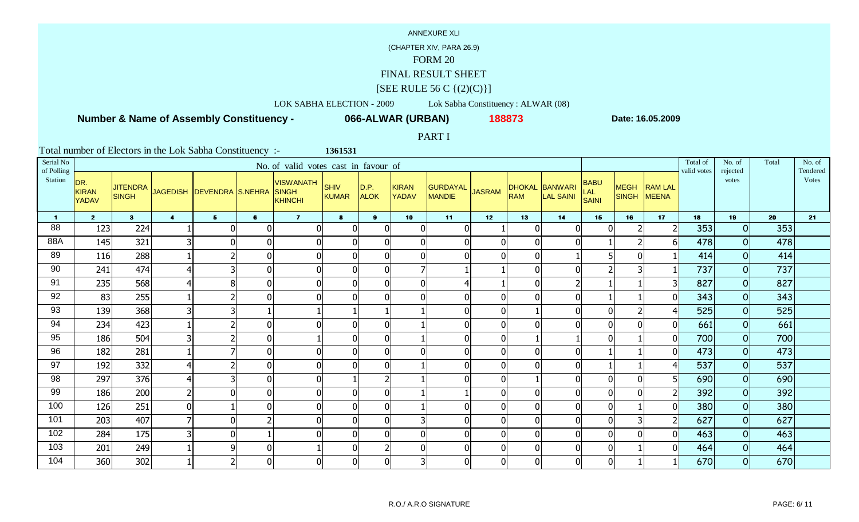## (CHAPTER XIV, PARA 26.9)

# FORM 20

### FINAL RESULT SHEET

### $[SEE \text{ RULE } 56 \text{ C } \{(2)(C)\}]$

# LOK SABHA ELECTION - 2009 Lok Sabha Constituency : ALWAR (08)

## **Number & Name of Assembly Constituency -**

**066-ALWAR (URBAN) <sup>188873</sup>**

**1361531**

**Date: 16.05.2009**

### PART I

| Serial No<br>of Polling |                              |                                 |                      |                           |                | No. of valid votes cast in favour of               |                      |                     |                       |                           |               |                |                             |                                    |                      |                         | Total of<br>valid votes | No. of<br>rejected | Total | No. of<br>Tendered |
|-------------------------|------------------------------|---------------------------------|----------------------|---------------------------|----------------|----------------------------------------------------|----------------------|---------------------|-----------------------|---------------------------|---------------|----------------|-----------------------------|------------------------------------|----------------------|-------------------------|-------------------------|--------------------|-------|--------------------|
| Station                 | DR.<br><b>KIRAN</b><br>YADAV | <b>JITENDRA</b><br><b>SINGH</b> |                      | JAGEDISH DEVENDRA S.NEHRA |                | <b>VISWANATH</b><br><b>SINGH</b><br><b>KHINCHI</b> | SHIV<br><b>KUMAR</b> | D.P.<br><b>ALOK</b> | KIRAN<br><b>YADAV</b> | GURDAYAL<br><b>MANDIE</b> | <b>JASRAM</b> | <b>RAM</b>     | DHOKAL BANWARI<br>LAL SAINI | <b>BABU</b><br><b>LAL</b><br>SAINI | <b>MEGH</b><br>SINGH | <b>RAM LAL</b><br>MEENA |                         | votes              |       | Votes              |
| $\mathbf 1$             | $\overline{2}$               | 3 <sup>1</sup>                  | $\blacktriangleleft$ | 5 <sub>1</sub>            | $6\phantom{1}$ | $\mathbf{7}$                                       | 8                    | 9                   | 10                    | 11                        | 12            | 13             | 14                          | 15                                 | 16                   | 17                      | 18                      | 19                 | 20    | 21                 |
| 88                      | 123                          | 224                             |                      | 0                         | $\Omega$       | $\Omega$                                           | $\Omega$             | n                   | $\overline{0}$        | $\overline{0}$            |               | $\mathbf{0}$   |                             | $\Omega$                           |                      |                         | 353                     | $\Omega$           | 353   |                    |
| 88A                     | 145                          | 321                             |                      | $\overline{0}$            | 0              | $\overline{0}$                                     | $\Omega$             | O                   | $\overline{0}$        | $\mathbf 0$               |               | $\mathbf 0$    |                             |                                    |                      | 61                      | 478                     | 0                  | 478   |                    |
| 89                      | 116                          | 288                             |                      | $\overline{2}$            | 01             | 0                                                  |                      |                     | $\overline{0}$        | $\mathbf{0}$              |               | $\overline{0}$ |                             |                                    | $\Omega$             |                         | 414                     | $\Omega$           | 414   |                    |
| 90                      | 241                          | 474                             |                      | 3                         | 01             | 0                                                  | $\Omega$             |                     | 7                     |                           |               | $\overline{0}$ |                             |                                    |                      |                         | 737                     | 0                  | 737   |                    |
| 91                      | 235                          | 568                             |                      | 8                         | $\overline{0}$ | $\overline{0}$                                     | $\Omega$             | O                   | $\overline{0}$        | 4                         |               | $\overline{0}$ |                             |                                    |                      |                         | 827                     | $\overline{O}$     | 827   |                    |
| 92                      | 83                           | 255                             |                      | 2 <sub>l</sub>            | $\overline{0}$ | $\overline{0}$                                     | $\overline{0}$       |                     | $\overline{0}$        | $\overline{0}$            |               | $\overline{0}$ |                             |                                    |                      |                         | 343                     | 0                  | 343   |                    |
| 93                      | 139                          | 368                             |                      | $\overline{\mathsf{3}}$   |                |                                                    |                      |                     |                       | $\mathbf 0$               |               |                | $\Omega$                    | $\Omega$                           | $\overline{2}$       |                         | 525                     | $\overline{O}$     | 525   |                    |
| 94                      | 234                          | 423                             |                      | $\overline{2}$            | ΩI             | $\overline{0}$                                     | $\Omega$             |                     |                       | $\mathbf 0$               |               | $\mathbf{0}$   |                             | $\overline{0}$                     | $\Omega$             |                         | 661                     | $\overline{O}$     | 661   |                    |
| 95                      | 186                          | 504                             |                      | 2                         | $\overline{0}$ |                                                    | $\Omega$             | O                   |                       | $\boldsymbol{0}$          |               |                |                             | $\Omega$                           |                      | 0                       | 700                     | 0                  | 700   |                    |
| 96                      | 182                          | 281                             |                      | $\overline{7}$            | 0              | $\overline{0}$                                     | $\Omega$             | $\Omega$            | $\overline{0}$        | $\mathbf 0$               |               | $\overline{0}$ |                             |                                    |                      |                         | 473                     | 0                  | 473   |                    |
| 97                      | 192                          | 332                             |                      | $\overline{2}$            | $\overline{0}$ | 0                                                  | $\Omega$             | ŋ                   |                       | $\overline{0}$            |               | $\overline{0}$ |                             |                                    |                      |                         | 537                     | $\overline{O}$     | 537   |                    |
| 98                      | 297                          | 376                             |                      | 3                         | $\overline{0}$ | 0                                                  |                      |                     |                       | $\mathbf 0$               |               |                |                             | $\mathbf{0}$                       | $\overline{0}$       | 5                       | 690                     | 0                  | 690   |                    |
| 99                      | 186                          | 200                             |                      | $\overline{0}$            | $\overline{0}$ | $\overline{0}$                                     | $\overline{0}$       | $\Omega$            |                       |                           |               | $\mathbf 0$    |                             | $\overline{0}$                     | $\overline{0}$       | $\overline{2}$          | 392                     | $\overline{O}$     | 392   |                    |
| 100                     | 126                          | 251                             |                      |                           | 0              | $\overline{0}$                                     | $\Omega$             |                     |                       | $\overline{0}$            |               | $\overline{0}$ |                             | $\mathbf{0}$                       |                      |                         | 380                     | 0                  | 380   |                    |
| 101                     | 203                          | 407                             |                      | $\overline{0}$            |                | 0                                                  | $\Omega$             | ∩                   | 3 <sup>1</sup>        | $\mathbf 0$               |               | $\mathbf{0}$   |                             | $\overline{0}$                     | 3                    | 2                       | 627                     | $\Omega$           | 627   |                    |
| 102                     | 284                          | 175                             |                      | 0                         |                | $\overline{0}$                                     |                      |                     | $\overline{0}$        | $\mathbf 0$               |               | $\mathbf{0}$   |                             | $\mathbf{0}$                       | $\Omega$             |                         | 463                     | $\Omega$           | 463   |                    |
| 103                     | 201                          | 249                             |                      | $\overline{9}$            | $\overline{0}$ |                                                    | $\Omega$             |                     | $\overline{0}$        | $\mathbf 0$               |               | $\overline{0}$ |                             | $\mathbf 0$                        |                      | $\Omega$                | 464                     | $\Omega$           | 464   |                    |
| 104                     | 360                          | 302                             |                      | $\overline{2}$            | $\overline{0}$ | $\overline{0}$                                     | $\overline{0}$       |                     | 3 <sup>1</sup>        | $\mathbf 0$               |               | $\overline{0}$ |                             | $\overline{0}$                     |                      |                         | 670                     | 0                  | 670   |                    |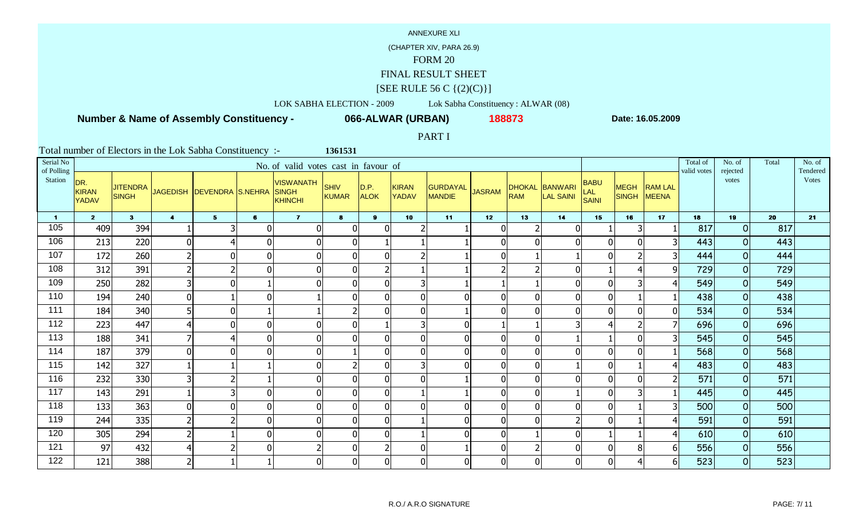## (CHAPTER XIV, PARA 26.9)

# FORM 20

### FINAL RESULT SHEET

### $[SEE \text{ RULE } 56 \text{ C } \{(2)(C)\}]$

# LOK SABHA ELECTION - 2009 Lok Sabha Constituency : ALWAR (08)

## **Number & Name of Assembly Constituency -**

**066-ALWAR (URBAN) <sup>188873</sup>**

**1361531**

**Date: 16.05.2009**

### PART I

| Serial No<br>of Polling |                                     |                                 |                      |                           |              | No. of valid votes cast in favour of               |                |                     |                       |                           |               |                             |                      |                             |                      |                                | Total of<br>valid votes | No. of<br>rejected | Total | No. of<br>Tendered |
|-------------------------|-------------------------------------|---------------------------------|----------------------|---------------------------|--------------|----------------------------------------------------|----------------|---------------------|-----------------------|---------------------------|---------------|-----------------------------|----------------------|-----------------------------|----------------------|--------------------------------|-------------------------|--------------------|-------|--------------------|
| Station                 | DR.<br><b>KIRAN</b><br><b>YADAV</b> | <b>JITENDRA</b><br><b>SINGH</b> |                      | JAGEDISH DEVENDRA S.NEHRA |              | <b>VISWANATH</b><br><b>SINGH</b><br><b>KHINCHI</b> | SHIV<br>KUMAR  | D.P.<br><b>ALOK</b> | KIRAN<br><b>YADAV</b> | GURDAYAL<br><b>MANDIE</b> | <b>JASRAM</b> | <b>DHOKAL</b><br><b>RAM</b> | BANWARI<br>LAL SAINI | <b>BABU</b><br>LAL<br>SAINI | <b>MEGH</b><br>SINGH | <b>RAM LAL</b><br><b>MEENA</b> |                         | votes              |       | <b>Votes</b>       |
| $\blacksquare$          | 2 <sup>1</sup>                      | 3 <sup>1</sup>                  | $\blacktriangleleft$ | 5 <sub>5</sub>            | $\mathbf{6}$ | $\mathbf{7}$                                       | $\bullet$      | $\mathbf{9}$        | 10                    | 11                        | 12            | 13                          | 14                   | 15                          | 16                   | 17                             | 18                      | 19                 | 20    | 21                 |
| 105                     | 409                                 | 394                             |                      | 3                         | $\Omega$     | $\mathbf 0$                                        | $\Omega$       | $\Omega$            |                       |                           |               | $\overline{2}$              | $\mathbf{0}$         |                             | 3                    |                                | 817                     | $\overline{O}$     | 817   |                    |
| 106                     | 213                                 | 220                             |                      | 4                         | $\Omega$     | $\mathbf 0$                                        | $\overline{0}$ |                     |                       |                           |               | $\mathbf{0}$                | $\Omega$             | $\Omega$                    | $\mathbf{0}$         | 3                              | 443                     | 0                  | 443   |                    |
| 107                     | 172                                 | 260                             |                      | $\mathbf 0$               | $\Omega$     | $\mathbf 0$                                        | $\overline{0}$ | O                   | $\overline{2}$        |                           |               |                             |                      | $\Omega$                    | $\mathcal{I}$        |                                | 444                     | $\overline{O}$     | 444   |                    |
| 108                     | 312                                 | 391                             |                      | $\overline{2}$            | $\Omega$     | $\mathbf 0$                                        | $\mathbf 0$    |                     |                       |                           |               |                             |                      |                             |                      | 91                             | 729                     | 0                  | 729   |                    |
| 109                     | 250                                 | 282                             |                      | $\overline{0}$            |              | $\mathbf 0$                                        | $\overline{0}$ | $\Omega$            | 3 <sup>1</sup>        |                           |               |                             | $\mathbf 0$          | $\mathbf{0}$                | 3                    |                                | 549                     | 0                  | 549   |                    |
| 110                     | 194                                 | 240                             |                      |                           | $\Omega$     |                                                    | $\overline{0}$ |                     | $\overline{0}$        | $\mathbf{0}$              |               | $\overline{0}$              | $\mathbf{0}$         | $\overline{0}$              |                      |                                | 438                     | 0                  | 438   |                    |
| 111                     | 184                                 | 340                             |                      | $\overline{0}$            |              |                                                    | <u>ົ</u>       | n                   | 0                     |                           |               | $\Omega$                    | $\mathbf{0}$         | $\Omega$                    | $\mathbf{0}$         | 0                              | 534                     | $\overline{O}$     | 534   |                    |
| 112                     | 223                                 | 447                             |                      | $\overline{0}$            | $\Omega$     | $\mathbf 0$                                        | $\Omega$       |                     | 3 <sup>1</sup>        | $\mathbf 0$               |               |                             |                      |                             |                      |                                | 696                     | 0                  | 696   |                    |
| 113                     | 188                                 | 341                             |                      | 4                         | $\Omega$     | $\boldsymbol{0}$                                   | $\overline{0}$ | $\Omega$            | 0                     | $\mathbf 0$               |               | $\overline{0}$              |                      |                             | $\mathbf 0$          | 31                             | 545                     | 0                  | 545   |                    |
| 114                     | 187                                 | 379                             |                      | $\overline{0}$            | $\Omega$     | $\mathbf 0$                                        |                | 0                   | $\overline{0}$        | $\overline{0}$            |               | $\overline{0}$              | $\Omega$             | $\Omega$                    | $\Omega$             |                                | 568                     | 0                  | 568   |                    |
| 115                     | 142                                 | 327                             |                      |                           |              | $\mathbf 0$                                        |                | ŋ                   | 3 <sup>1</sup>        | $\mathbf{0}$              |               | $\overline{0}$              |                      | $\Omega$                    |                      |                                | 483                     | $\overline{O}$     | 483   |                    |
| 116                     | 232                                 | 330                             |                      | $\overline{2}$            |              | $\mathbf 0$                                        | $\mathbf{0}$   |                     | $\overline{0}$        |                           |               | $\overline{0}$              |                      | $\Omega$                    | $\mathbf 0$          |                                | 571                     | 0                  | 571   |                    |
| 117                     | 143                                 | 291                             |                      | 3                         | $\Omega$     | $\mathbf 0$                                        | $\overline{0}$ | 0                   |                       |                           |               | $\mathbf{0}$                |                      | $\Omega$                    |                      |                                | 445                     | $\overline{O}$     | 445   |                    |
| 118                     | 133                                 | 363                             |                      | $\overline{0}$            | ΩI           | $\mathbf 0$                                        | $\overline{0}$ | U                   | $\overline{0}$        | $\overline{0}$            |               | $\mathbf{0}$                | $\Omega$             | $\Omega$                    |                      |                                | 500                     | 0                  | 500   |                    |
| 119                     | 244                                 | 335                             |                      | $\overline{2}$            | $\Omega$     | $\mathbf 0$                                        | $\Omega$       | $\Omega$            |                       | $\mathbf 0$               |               | $\mathbf{0}$                | $\overline{2}$       | $\Omega$                    |                      | 4                              | 591                     | $\overline{O}$     | 591   |                    |
| 120                     | 305                                 | 294                             |                      |                           | $\Omega$     | $\overline{0}$                                     | U              |                     |                       | $\mathbf 0$               |               |                             |                      |                             |                      |                                | 610                     | $\overline{O}$     | 610   |                    |
| 121                     | 97                                  | 432                             |                      | $\overline{2}$            | $\Omega$     | $\overline{2}$                                     | $\mathbf 0$    |                     | $\overline{0}$        |                           |               | $\overline{2}$              | $\mathbf{0}$         | $\Omega$                    | 8                    | 6 <sup>1</sup>                 | 556                     | 0                  | 556   |                    |
| 122                     | 121                                 | 388                             | 2                    |                           |              | $\mathbf 0$                                        | $\overline{0}$ | U                   | $\overline{0}$        | $\mathbf 0$               |               | $\mathbf{0}$                | $\Omega$             | $\overline{0}$              | 4                    | 6 <sup>1</sup>                 | 523                     | 0                  | 523   |                    |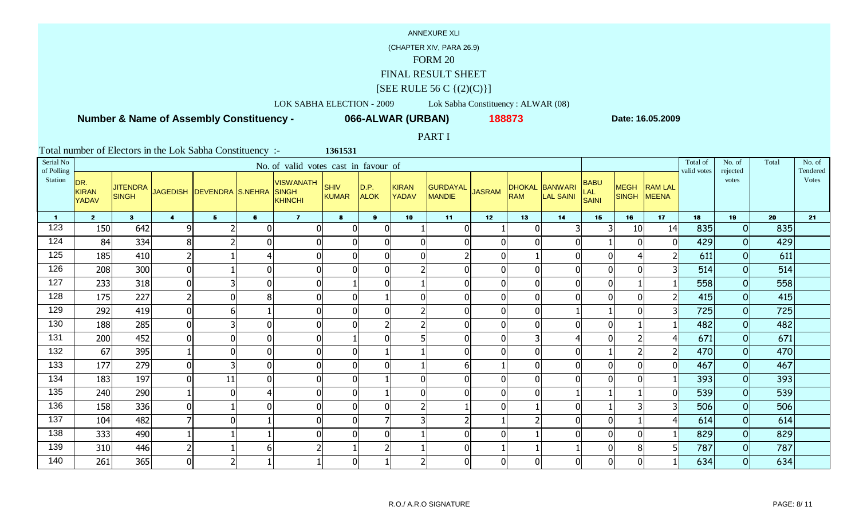## (CHAPTER XIV, PARA 26.9)

# FORM 20

### FINAL RESULT SHEET

### $[SEE \text{ RULE } 56 \text{ C } \{(2)(C)\}]$

# LOK SABHA ELECTION - 2009 Lok Sabha Constituency : ALWAR (08)

## **Number & Name of Assembly Constituency -**

**066-ALWAR (URBAN) <sup>188873</sup>**

**1361531**

**Date: 16.05.2009**

### PART I

| Serial No<br>of Polling |                                     |                                 |                  |                           |                | No. of valid votes cast in favour of               |               |                     |                              |                                  |                 |            |                             |                                           |                             |                         | Total of<br>valid votes | No. of<br>rejected  | Total | No. of<br>Tendered |
|-------------------------|-------------------------------------|---------------------------------|------------------|---------------------------|----------------|----------------------------------------------------|---------------|---------------------|------------------------------|----------------------------------|-----------------|------------|-----------------------------|-------------------------------------------|-----------------------------|-------------------------|-------------------------|---------------------|-------|--------------------|
| Station                 | DR.<br><b>KIRAN</b><br><b>YADAV</b> | <b>JITENDRA</b><br><b>SINGH</b> |                  | JAGEDISH DEVENDRA S.NEHRA |                | <b>VISWANATH</b><br><b>SINGH</b><br><b>KHINCHI</b> | SHIV<br>KUMAR | D.P.<br><b>ALOK</b> | <b>KIRAN</b><br><b>YADAV</b> | <b>GURDAYAL</b><br><b>MANDIE</b> | <b>JASRAM</b>   | <b>RAM</b> | DHOKAL BANWARI<br>LAL SAINI | <b>BABU</b><br><b>LAL</b><br><b>SAINI</b> | <b>MEGH</b><br><b>SINGH</b> | <b>RAM LAL</b><br>MEENA |                         | votes               |       | Votes              |
| $\blacktriangleleft$    | 2 <sub>2</sub>                      | 3 <sup>1</sup>                  | $\blacktriangle$ | 5 <sup>5</sup>            | $6\phantom{1}$ | $\overline{7}$                                     | 8             | $\mathbf{9}$        | 10 <sub>1</sub>              | 11                               | 12 <sub>2</sub> | 13         | 14                          | 15                                        | 16                          | 17                      | 18                      | 19                  | 20    | 21                 |
| 123                     | 150                                 | 642                             | 9                | $\mathbf{r}$              |                | $\mathbf{0}$                                       | 0             | $\Omega$            |                              | 0                                |                 |            |                             |                                           | 10                          | 14                      | 835                     | 0                   | 835   |                    |
| 124                     | 84                                  | 334                             | 8                | $\overline{2}$            |                | 01                                                 |               | $\Omega$            | $\overline{0}$               |                                  | $\overline{0}$  |            | $\Omega$                    |                                           | $\Omega$                    |                         | 429                     | $\overline{O}$      | 429   |                    |
| 125                     | 185                                 | 410                             | 2                |                           |                | $\mathbf 0$                                        |               |                     | $\mathbf 0$                  |                                  | $\overline{0}$  |            | $\Omega$                    |                                           |                             |                         | 611                     | $\mathbf 0$         | 611   |                    |
| 126                     | 208                                 | 300                             | $\overline{0}$   |                           |                | 0                                                  |               |                     |                              |                                  | $\mathbf{0}$    |            | $\Omega$                    |                                           |                             |                         | 514                     | 0                   | 514   |                    |
| 127                     | 233                                 | 318                             | 0                | 3                         |                | $\overline{0}$                                     |               | ŋ                   |                              | 0                                | $\overline{0}$  |            | $\Omega$                    |                                           |                             |                         | 558                     | $\overline{O}$      | 558   |                    |
| 128                     | 175                                 | 227                             | 2 <sup>1</sup>   | $\overline{0}$            |                | $\overline{0}$                                     |               |                     | $\overline{0}$               | $\overline{0}$                   | $\overline{0}$  |            | $\Omega$                    |                                           | $\Omega$                    |                         | 415                     | $\overline{O}$      | 415   |                    |
| 129                     | 292                                 | 419                             | 0                | 6                         |                | $\overline{0}$                                     | $\Omega$      | O                   | $\overline{2}$               | $\Omega$                         | $\overline{0}$  | U          |                             |                                           | $\Omega$                    |                         | 725                     | $\overline{O}$      | 725   |                    |
| 130                     | 188                                 | 285                             | $\overline{0}$   | 3                         |                | $\overline{0}$                                     |               |                     | h                            | $\Omega$                         | $\overline{0}$  |            | $\Omega$                    |                                           |                             |                         | 482                     | $\overline{O}$      | 482   |                    |
| 131                     | 200                                 | 452                             | 0                | $\mathbf 0$               |                | $\overline{0}$                                     |               | $\Omega$            |                              | $\mathbf 0$                      | $\overline{0}$  |            | 4                           |                                           |                             |                         | 671                     | $\overline{0}$      | 671   |                    |
| 132                     | 67                                  | 395                             |                  | $\overline{0}$            |                | $\overline{0}$                                     |               |                     |                              |                                  | $\overline{0}$  |            | $\Omega$                    |                                           |                             |                         | 470                     | $\overline{O}$      | 470   |                    |
| 133                     | 177                                 | 279                             | 0                | 3                         |                | $\mathbf 0$                                        | U             |                     |                              | 6                                |                 |            | $\Omega$                    |                                           | $\Omega$                    |                         | 467                     | $\overline{O}$      | 467   |                    |
| 134                     | 183                                 | 197                             | $\overline{0}$   | 11                        |                | $\overline{0}$                                     |               |                     | $\mathbf 0$                  | $\Omega$                         | $\overline{0}$  |            | $\Omega$                    |                                           | O                           |                         | 393                     | 0                   | 393   |                    |
| 135                     | 240                                 | 290                             |                  | $\overline{0}$            |                | $\overline{0}$                                     | 0             |                     | $\mathbf 0$                  | O                                | $\overline{0}$  |            |                             |                                           |                             |                         | 539                     | $\overline{0}$      | 539   |                    |
| 136                     | 158                                 | 336                             | 0                |                           |                | 0                                                  |               |                     | C.                           |                                  | $\overline{0}$  |            | $\Omega$                    |                                           |                             |                         | 506                     | $\overline{0}$      | 506   |                    |
| 137                     | 104                                 | 482                             | 71               | $\overline{0}$            |                | $\mathbf 0$                                        | U             |                     | 3                            |                                  |                 |            | $\Omega$                    |                                           |                             |                         | 614                     | $\mathsf{O}\xspace$ | 614   |                    |
| 138                     | 333                                 | 490                             |                  |                           |                | 0                                                  |               |                     |                              |                                  | 0               |            | O                           |                                           |                             |                         | 829                     | $\overline{O}$      | 829   |                    |
| 139                     | 310                                 | 446                             | 2                |                           |                | $\overline{2}$                                     |               |                     |                              | $\mathbf 0$                      |                 |            |                             |                                           | 8                           | 5                       | 787                     | $\overline{0}$      | 787   |                    |
| 140                     | 261                                 | 365                             | $\overline{0}$   | $\overline{2}$            |                |                                                    | ΩI            |                     | $\overline{2}$               | $\overline{0}$                   | $\overline{0}$  |            | $\Omega$                    |                                           | $\Omega$                    |                         | 634                     | $\overline{O}$      | 634   |                    |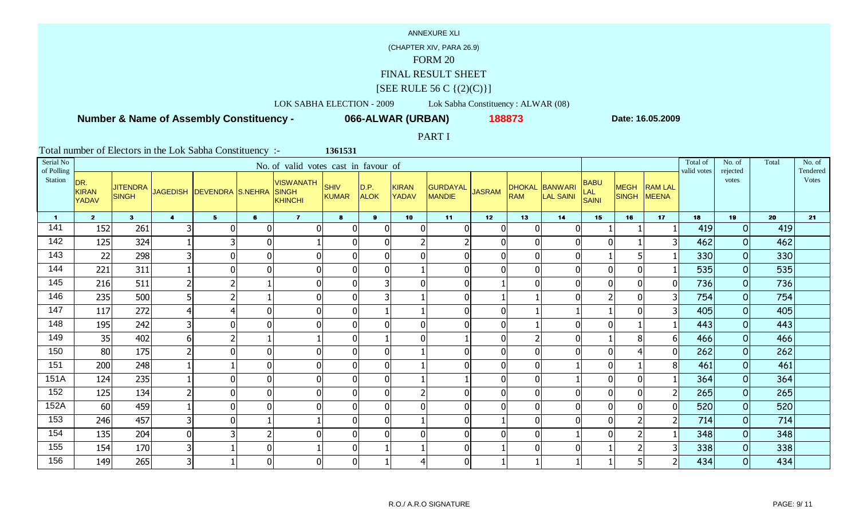## (CHAPTER XIV, PARA 26.9)

# FORM 20

### FINAL RESULT SHEET

### $[SEE \text{ RULE } 56 \text{ C } \{(2)(C)\}]$

## LOK SABHA ELECTION - 2009 Lok Sabha Constituency : ALWAR (08)

## **Number & Name of Assembly Constituency -**

**066-ALWAR (URBAN) <sup>188873</sup>**

**1361531**

**Date: 16.05.2009**

### PART I

| Serial No<br>of Polling |                                     |                                 |                      |                           |                | No. of valid votes cast in favour of        |                      |                     |                              |                           |               |                |                             |                             |                      |                                | Total of<br>valid votes | No. of<br>rejected | Total | No. of<br>Tendered |
|-------------------------|-------------------------------------|---------------------------------|----------------------|---------------------------|----------------|---------------------------------------------|----------------------|---------------------|------------------------------|---------------------------|---------------|----------------|-----------------------------|-----------------------------|----------------------|--------------------------------|-------------------------|--------------------|-------|--------------------|
| Station                 | DR.<br><b>KIRAN</b><br><b>YADAV</b> | <b>JITENDRA</b><br><b>SINGH</b> |                      | JAGEDISH DEVENDRA S.NEHRA |                | <b>VISWANATH</b><br><b>SINGH</b><br>KHINCHI | SHIV<br><b>KUMAR</b> | D.P.<br><b>ALOK</b> | <b>KIRAN</b><br><b>YADAV</b> | GURDAYAL<br><b>MANDIE</b> | <b>JASRAM</b> | <b>RAM</b>     | DHOKAL BANWARI<br>LAL SAINI | <b>BABU</b><br>LAL<br>SAINI | <b>MEGH</b><br>SINGH | <b>RAM LAL</b><br><b>MEENA</b> |                         | votes              |       | <b>Votes</b>       |
| $\blacksquare$          | 2 <sup>7</sup>                      | 3 <sup>1</sup>                  | $\blacktriangleleft$ | 5 <sub>1</sub>            | $6\phantom{1}$ | $\overline{7}$                              | 8                    | 9 <sup>1</sup>      | 10                           | 11                        | 12            | 13             | 14                          | 15                          | 16                   | 17                             | 18                      | 19                 | 20    | 21                 |
| 141                     | 152                                 | 261                             | 31                   | $\overline{0}$            |                | 0                                           | $\Omega$             | ∩                   | $\Omega$                     | $\Omega$                  |               | $\Omega$       |                             |                             |                      |                                | 419                     | $\Omega$           | 419   |                    |
| 142                     | 125                                 | 324                             |                      | 31                        |                |                                             | $\Omega$             | $\Omega$            |                              |                           |               | $\mathbf{0}$   | $\Omega$                    | $\Omega$                    |                      | 3 <sup>l</sup>                 | 462                     | 0                  | 462   |                    |
| 143                     | 22                                  | 298                             | 3 <sup>1</sup>       | $\overline{0}$            |                | $\overline{0}$                              | $\Omega$             |                     | $\mathbf 0$                  | $\overline{0}$            |               | $\overline{0}$ | $\Omega$                    |                             |                      |                                | 330                     | 0                  | 330   |                    |
| 144                     | 221                                 | 311                             |                      | $\overline{0}$            |                | $\overline{0}$                              | O                    |                     |                              | $\mathbf 0$               |               | $\overline{0}$ |                             | $\mathbf{0}$                | $\Omega$             |                                | 535                     | 0                  | 535   |                    |
| 145                     | 216                                 | 511                             | $\overline{2}$       | $\overline{2}$            |                | $\overline{0}$                              | $\Omega$             |                     | $\overline{0}$               | $\Omega$                  |               | $\overline{0}$ | $\Omega$                    | $\Omega$                    | $\mathbf{0}$         | ΩI                             | 736                     | 0                  | 736   |                    |
| 146                     | 235                                 | 500                             | 5 <sup>1</sup>       | $\overline{2}$            |                | $\overline{0}$                              | $\Omega$             |                     |                              | $\overline{0}$            |               |                |                             | $\mathfrak{p}$              | $\mathbf{0}$         | 3 <sup>1</sup>                 | 754                     | 0                  | 754   |                    |
| 147                     | 117                                 | 272                             | $\overline{4}$       | 4 <sup>1</sup>            |                | 0                                           | $\Omega$             |                     |                              | $\overline{0}$            |               |                |                             |                             | $\mathbf{0}$         | $\overline{\mathsf{3}}$        | 405                     | $\overline{O}$     | 405   |                    |
| 148                     | 195                                 | 242                             | 3 <sup>1</sup>       | $\overline{0}$            |                | $\overline{0}$                              | $\Omega$             |                     | $\mathbf 0$                  | $\overline{0}$            |               |                | $\Omega$                    | $\mathbf{0}$                |                      |                                | 443                     | 0                  | 443   |                    |
| 149                     | 35                                  | 402                             | 6 <sup>1</sup>       | $\overline{2}$            |                | 1                                           | $\overline{0}$       |                     | $\overline{0}$               |                           |               | 2              | $\Omega$                    |                             | 8                    | 61                             | 466                     | 0                  | 466   |                    |
| 150                     | 80                                  | 175                             | $\overline{2}$       | $\overline{0}$            |                | $\overline{0}$                              | $\overline{0}$       | $\Omega$            |                              | $\Omega$                  |               | $\overline{0}$ | $\Omega$                    | $\overline{0}$              |                      | ΩI                             | 262                     | 0                  | 262   |                    |
| 151                     | 200                                 | 248                             |                      |                           |                | 0                                           | $\Omega$             | $\Omega$            |                              | $\mathbf{0}$              |               | $\mathbf 0$    |                             | $\Omega$                    |                      | 8                              | 461                     | $\overline{O}$     | 461   |                    |
| 151A                    | 124                                 | 235                             |                      | $\overline{0}$            |                | $\overline{0}$                              | $\Omega$             |                     |                              |                           |               | $\mathbf{0}$   |                             | $\mathbf 0$                 | $\mathbf{0}$         |                                | 364                     | 0                  | 364   |                    |
| 152                     | 125                                 | 134                             | $\overline{2}$       | $\overline{0}$            |                | $\overline{0}$                              | $\Omega$             | n                   | $\mathcal{D}$                | $\overline{0}$            |               | $\mathbf{0}$   | $\overline{0}$              | $\Omega$                    | 0                    | $\mathsf{2}$                   | 265                     | $\overline{O}$     | 265   |                    |
| 152A                    | 60                                  | 459                             |                      | 0                         |                | $\overline{0}$                              | $\Omega$             |                     | $\overline{0}$               | $\overline{0}$            |               | $\overline{0}$ |                             | $\mathbf{0}$                | $\mathbf{0}$         | ΩI                             | 520                     | 0                  | 520   |                    |
| 153                     | 246                                 | 457                             | 3 <sup>1</sup>       | $\overline{0}$            |                |                                             | $\Omega$             | $\Omega$            |                              | $\overline{0}$            |               | $\overline{0}$ | $\Omega$                    | $\Omega$                    |                      | $\mathsf{2}$                   | 714                     | $\overline{O}$     | 714   |                    |
| 154                     | 135                                 | 204                             | $\mathbf 0$          | 31                        |                | 0                                           | U                    |                     | $\Omega$                     | $\overline{0}$            |               | 0              |                             | $\Omega$                    |                      |                                | 348                     | 0                  | 348   |                    |
| 155                     | 154                                 | 170                             | 3 <sup>1</sup>       |                           |                |                                             | $\Omega$             |                     |                              | $\overline{0}$            |               | $\overline{0}$ | $\Omega$                    |                             |                      | $\overline{\mathsf{3}}$        | 338                     | $\overline{O}$     | 338   |                    |
| 156                     | 149                                 | 265                             | 3 <sup>1</sup>       |                           |                | $\overline{0}$                              | $\overline{0}$       |                     | 4                            | $\overline{0}$            |               |                |                             |                             |                      | 2                              | 434                     | 0                  | 434   |                    |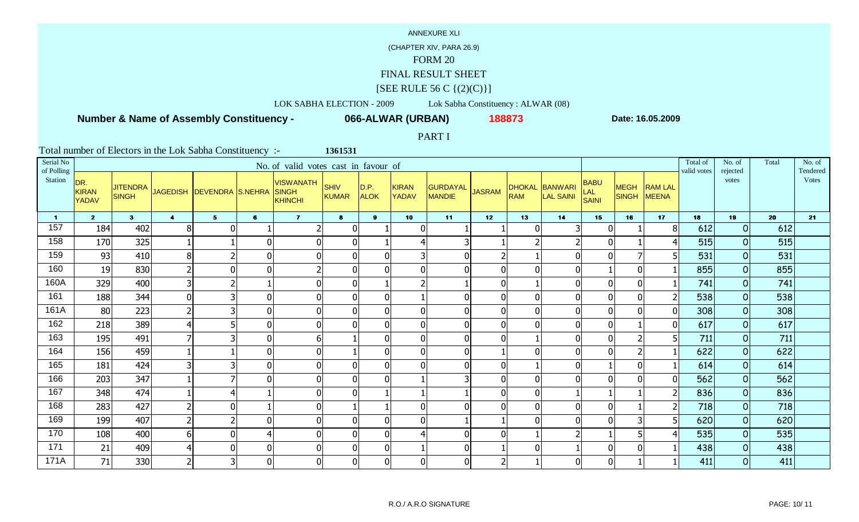## (CHAPTER XIV, PARA 26.9)

# FORM 20

### FINAL RESULT SHEET

### $[SEE \text{ RULE } 56 \text{ C } \{(2)(C)\}]$

# LOK SABHA ELECTION - 2009 Lok Sabha Constituency : ALWAR (08)

## **Number & Name of Assembly Constituency -**

**066-ALWAR (URBAN) <sup>188873</sup>**

**1361531**

**Date: 16.05.2009**

### PART I

| Serial No<br>of Polling |                                     |                                 |                |                           |                | No. of valid votes cast in favour of        |                      |                     |                       |                                  |               |                |                             |                                    |                      |                         | Total of<br>valid votes | No. of<br>rejected | Total | No. of<br>Tendered |
|-------------------------|-------------------------------------|---------------------------------|----------------|---------------------------|----------------|---------------------------------------------|----------------------|---------------------|-----------------------|----------------------------------|---------------|----------------|-----------------------------|------------------------------------|----------------------|-------------------------|-------------------------|--------------------|-------|--------------------|
| Station                 | DR.<br><b>KIRAN</b><br><b>YADAV</b> | <b>JITENDRA</b><br><b>SINGH</b> |                | JAGEDISH DEVENDRA S.NEHRA |                | <b>VISWANATH</b><br>SINGH<br><b>KHINCHI</b> | SHIV<br><b>KUMAR</b> | D.P.<br><b>ALOK</b> | KIRAN<br><b>YADAV</b> | <b>GURDAYAL</b><br><b>MANDIE</b> | <b>JASRAM</b> | <b>RAM</b>     | DHOKAL BANWARI<br>LAL SAINI | <b>BABU</b><br><b>LAL</b><br>SAINI | <b>MEGH</b><br>SINGH | <b>RAM LAL</b><br>MEENA |                         | votes              |       | <b>Votes</b>       |
| $\blacksquare$          | $\overline{2}$                      | 3 <sup>1</sup>                  | $\overline{4}$ | 5 <sub>1</sub>            | 6              | $\mathbf{7}$                                | $\bullet$            | 9 <sup>1</sup>      | 10                    | 11                               | 12            | 13             | 14                          | 15                                 | 16                   | 17                      | 18                      | 19                 | 20    | 21                 |
| 157                     | 184                                 | 402                             | 8              | 0                         |                | $\overline{2}$                              | $\Omega$             |                     | $\overline{0}$        |                                  |               | $\overline{0}$ |                             | 0                                  |                      | 8                       | 612                     | $\Omega$           | 612   |                    |
| 158                     | 170                                 | 325                             |                |                           | 0              | $\overline{0}$                              | $\Omega$             |                     | $\overline{4}$        | 3                                |               |                |                             | $\mathbf{0}$                       |                      |                         | 515                     | 0                  | 515   |                    |
| 159                     | 93                                  | 410                             | 8              | $\overline{2}$            | $\overline{0}$ | 0                                           | $\Omega$             |                     | 3 <sup>l</sup>        | $\mathbf 0$                      |               |                |                             | $\Omega$                           |                      |                         | 531                     | $\Omega$           | 531   |                    |
| 160                     | 19                                  | 830                             |                | $\mathbf 0$               | $\overline{0}$ | $\overline{2}$                              |                      |                     | $\overline{0}$        | $\mathbf 0$                      |               | $\mathbf{0}$   |                             |                                    | $\mathbf{0}$         |                         | 855                     | 0                  | 855   |                    |
| 160A                    | 329                                 | 400                             |                | $\overline{2}$            |                | 0                                           | $\Omega$             |                     | $\overline{2}$        |                                  |               |                |                             | $\Omega$                           | $\mathbf 0$          |                         | 741                     | $\overline{O}$     | 741   |                    |
| 161                     | 188                                 | 344                             | $\Omega$       | $\overline{3}$            | 0              | $\overline{0}$                              | $\overline{0}$       |                     |                       | $\overline{0}$                   |               | $\overline{0}$ |                             | $\overline{0}$                     | $\overline{0}$       | 2                       | 538                     | 0                  | 538   |                    |
| 161A                    | 80                                  | 223                             |                | 3                         | $\overline{0}$ | 0                                           | $\Omega$             | ∩                   | $\overline{0}$        | $\mathbf 0$                      |               | $\overline{0}$ |                             | $\Omega$                           | $\mathbf 0$          | $\Omega$                | 308                     | $\overline{O}$     | 308   |                    |
| 162                     | 218                                 | 389                             |                | 5 <sup>1</sup>            | $\overline{0}$ | 0                                           |                      |                     | $\overline{0}$        | $\mathbf 0$                      |               | $\mathbf{0}$   |                             | $\overline{0}$                     |                      |                         | 617                     | $\overline{O}$     | 617   |                    |
| 163                     | 195                                 | 491                             |                | 3                         | $\overline{0}$ | 6                                           |                      | ŋ                   | 0                     | $\mathbf 0$                      |               |                |                             | $\overline{0}$                     |                      | 5                       | 711                     | $\overline{O}$     | 711   |                    |
| 164                     | 156                                 | 459                             |                |                           | 0              | 0                                           |                      |                     | $\overline{0}$        | $\overline{0}$                   |               | $\overline{0}$ |                             | $\mathbf{0}$                       |                      |                         | 622                     | 0                  | 622   |                    |
| 165                     | 181                                 | 424                             |                | 3                         | 0              | 0                                           | $\Omega$             | ∩                   | $\overline{0}$        | $\mathbf 0$                      |               |                |                             |                                    | $\overline{0}$       |                         | 614                     | $\overline{O}$     | 614   |                    |
| 166                     | 203                                 | 347                             |                | 7                         | 0l             | $\overline{0}$                              |                      |                     |                       | 3                                |               | $\mathbf 0$    |                             |                                    | $\mathbf 0$          |                         | 562                     | 0                  | 562   |                    |
| 167                     | 348                                 | 474                             |                | 4                         |                | $\overline{0}$                              | $\mathbf{0}$         |                     |                       |                                  |               | $\overline{0}$ |                             |                                    |                      | 2                       | 836                     | $\overline{O}$     | 836   |                    |
| 168                     | 283                                 | 427                             |                | $\overline{0}$            |                | $\overline{0}$                              |                      |                     | $\overline{0}$        | $\overline{0}$                   |               | $\mathbf{0}$   |                             | $\mathbf{0}$                       |                      |                         | 718                     | 0                  | 718   |                    |
| 169                     | 199                                 | 407                             |                | 2                         | $\overline{0}$ | 0                                           | $\Omega$             | ∩                   | $\overline{0}$        |                                  |               | $\mathbf{0}$   |                             | $\Omega$                           | 3                    | 5                       | 620                     | $\overline{O}$     | 620   |                    |
| 170                     | 108                                 | 400                             | 6              | 0                         |                | $\overline{0}$                              |                      |                     | $\overline{4}$        | $\overline{0}$                   |               |                |                             |                                    |                      |                         | 535                     | $\Omega$           | 535   |                    |
| 171                     | 21                                  | 409                             |                | 0                         | $\overline{0}$ | 0                                           | $\overline{0}$       | ∩                   |                       | $\mathbf 0$                      |               | $\overline{0}$ |                             | $\overline{0}$                     | 0                    |                         | 438                     | $\overline{O}$     | 438   |                    |
| 171A                    | 71                                  | 330                             |                | $\overline{3}$            | $\overline{0}$ | $\overline{0}$                              | $\overline{0}$       | U                   | 0                     | $\mathbf 0$                      |               |                |                             | $\overline{0}$                     |                      |                         | 411                     | $\Omega$           | 411   |                    |